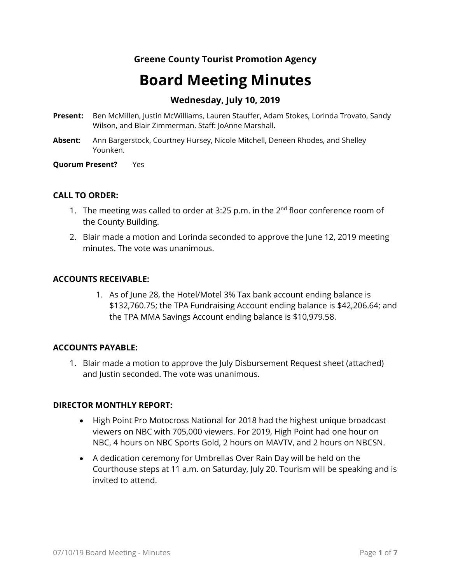### **Greene County Tourist Promotion Agency**

# **Board Meeting Minutes**

### **Wednesday, July 10, 2019**

- **Present:** Ben McMillen, Justin McWilliams, Lauren Stauffer, Adam Stokes, Lorinda Trovato, Sandy Wilson, and Blair Zimmerman. Staff: JoAnne Marshall.
- **Absent**: Ann Bargerstock, Courtney Hursey, Nicole Mitchell, Deneen Rhodes, and Shelley Younken.

**Quorum Present?** Yes

#### **CALL TO ORDER:**

- 1. The meeting was called to order at 3:25 p.m. in the  $2<sup>nd</sup>$  floor conference room of the County Building.
- 2. Blair made a motion and Lorinda seconded to approve the June 12, 2019 meeting minutes. The vote was unanimous.

#### **ACCOUNTS RECEIVABLE:**

1. As of June 28, the Hotel/Motel 3% Tax bank account ending balance is \$132,760.75; the TPA Fundraising Account ending balance is \$42,206.64; and the TPA MMA Savings Account ending balance is \$10,979.58.

#### **ACCOUNTS PAYABLE:**

1. Blair made a motion to approve the July Disbursement Request sheet (attached) and Justin seconded. The vote was unanimous.

#### **DIRECTOR MONTHLY REPORT:**

- High Point Pro Motocross National for 2018 had the highest unique broadcast viewers on NBC with 705,000 viewers. For 2019, High Point had one hour on NBC, 4 hours on NBC Sports Gold, 2 hours on MAVTV, and 2 hours on NBCSN.
- A dedication ceremony for Umbrellas Over Rain Day will be held on the Courthouse steps at 11 a.m. on Saturday, July 20. Tourism will be speaking and is invited to attend.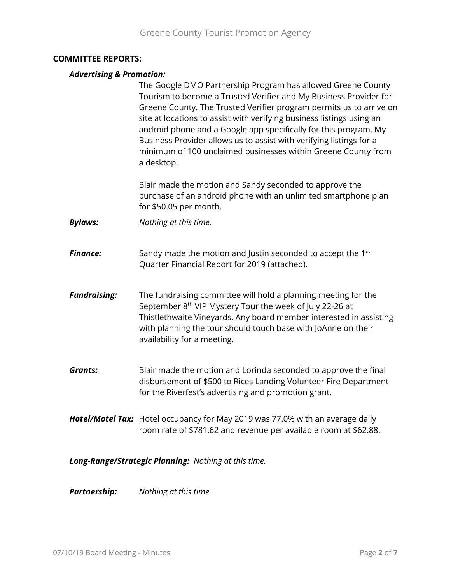#### **COMMITTEE REPORTS:**

#### *Advertising & Promotion:*

The Google DMO Partnership Program has allowed Greene County Tourism to become a Trusted Verifier and My Business Provider for Greene County. The Trusted Verifier program permits us to arrive on site at locations to assist with verifying business listings using an android phone and a Google app specifically for this program. My Business Provider allows us to assist with verifying listings for a minimum of 100 unclaimed businesses within Greene County from a desktop.

Blair made the motion and Sandy seconded to approve the purchase of an android phone with an unlimited smartphone plan for \$50.05 per month.

*Bylaws: Nothing at this time.*

**Finance:** Sandy made the motion and Justin seconded to accept the 1<sup>st</sup> Quarter Financial Report for 2019 (attached).

- *Fundraising:* The fundraising committee will hold a planning meeting for the September 8<sup>th</sup> VIP Mystery Tour the week of July 22-26 at Thistlethwaite Vineyards. Any board member interested in assisting with planning the tour should touch base with JoAnne on their availability for a meeting.
- *Grants:* Blair made the motion and Lorinda seconded to approve the final disbursement of \$500 to Rices Landing Volunteer Fire Department for the Riverfest's advertising and promotion grant.
- *Hotel/Motel Tax:* Hotel occupancy for May 2019 was 77.0% with an average daily room rate of \$781.62 and revenue per available room at \$62.88.

*Long-Range/Strategic Planning: Nothing at this time.*

*Partnership: Nothing at this time.*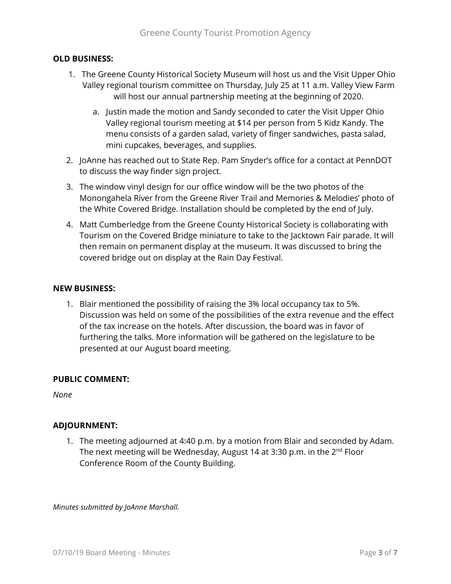#### **OLD BUSINESS:**

- 1. The Greene County Historical Society Museum will host us and the Visit Upper Ohio Valley regional tourism committee on Thursday, July 25 at 11 a.m. Valley View Farm will host our annual partnership meeting at the beginning of 2020.
	- a. Justin made the motion and Sandy seconded to cater the Visit Upper Ohio Valley regional tourism meeting at \$14 per person from 5 Kidz Kandy. The menu consists of a garden salad, variety of finger sandwiches, pasta salad, mini cupcakes, beverages, and supplies.
- 2. JoAnne has reached out to State Rep. Pam Snyder's office for a contact at PennDOT to discuss the way finder sign project.
- 3. The window vinyl design for our office window will be the two photos of the Monongahela River from the Greene River Trail and Memories & Melodies' photo of the White Covered Bridge. Installation should be completed by the end of July.
- 4. Matt Cumberledge from the Greene County Historical Society is collaborating with Tourism on the Covered Bridge miniature to take to the Jacktown Fair parade. It will then remain on permanent display at the museum. It was discussed to bring the covered bridge out on display at the Rain Day Festival.

#### **NEW BUSINESS:**

1. Blair mentioned the possibility of raising the 3% local occupancy tax to 5%. Discussion was held on some of the possibilities of the extra revenue and the effect of the tax increase on the hotels. After discussion, the board was in favor of furthering the talks. More information will be gathered on the legislature to be presented at our August board meeting.

#### **PUBLIC COMMENT:**

*None*

#### **ADJOURNMENT:**

1. The meeting adjourned at 4:40 p.m. by a motion from Blair and seconded by Adam. The next meeting will be Wednesday, August 14 at 3:30 p.m. in the 2<sup>nd</sup> Floor Conference Room of the County Building.

*Minutes submitted by JoAnne Marshall.*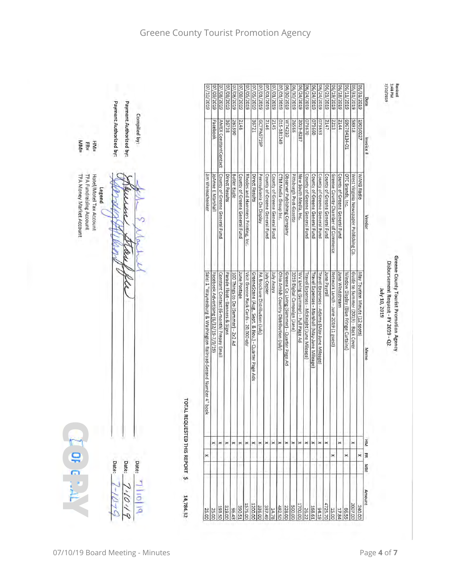



|                                                                                          |                        |                           | 6102/01/20                                                         | 07/09/2019                            | 07/08/2019                              | 07/08/2019                     | 07/08/2019                         | 07/08/2019                    | 07/05/2019                           | 6102/50/20                                          | 07/01/2019                                     | 07/01/2019                                                     | 07/01/2019<br>07/01/2019               | 6130/2019                                   | 06/30/2019                   | 06/24/2019                        | 96/24/2019                                | 06/24/2019                                    | 06/24/2019                                 | 06/21/2019                    | 6(19/2019                           | 06/18/2019                    | 06/11/2019                            | 05/31/2019                             | 6102/12073                    | Date      |
|------------------------------------------------------------------------------------------|------------------------|---------------------------|--------------------------------------------------------------------|---------------------------------------|-----------------------------------------|--------------------------------|------------------------------------|-------------------------------|--------------------------------------|-----------------------------------------------------|------------------------------------------------|----------------------------------------------------------------|----------------------------------------|---------------------------------------------|------------------------------|-----------------------------------|-------------------------------------------|-----------------------------------------------|--------------------------------------------|-------------------------------|-------------------------------------|-------------------------------|---------------------------------------|----------------------------------------|-------------------------------|-----------|
| Payment Authorized by:<br><b>MM=</b><br>$HNI =$<br>퓖                                     | Payment Authorized by: | Compiled by:              |                                                                    | Facebook                              | AMEX ConstantContact                    | 36738                          | 261390                             | 2148                          |                                      | 36721                                               | GCTPA0719P                                     | 2146                                                           | 2145<br>015-181249                     | M74210                                      | 26566                        | 2019-8287                         | 073670                                    | 033660                                        | 073653                                     | 2147                          | 2213                                | 2144                          | 10-24134-01                           | 81685                                  | 19050027                      | Invoice # |
| TPA Money Market Account<br>TPA Fundraising Account<br>Hotel/Motel Tax Account<br>Legend |                        |                           | Jim Weinschenker                                                   | <b>JoAnne E Marshall</b>              | County of Greene General Fund           | Direct Results                 | <b>Butler Eagle</b>                | County of Greene General Fund | Rhodes and Hammers Printing, Inc.    | Direct Results                                      | Pennsylvania On Display                        | County of Greene General Fund<br>County of Greene General Fund | CTM Media Group Inc.                   | Observer Publishing Company                 | Pittsburgh Post-Gazette      | New South Media, Inc.             | County of Greene General Fund             | County of Greene General Fund                 | County of Greene General Fund              | County of Greene General Fund | Greene County Chamber of Commerce   | County of Greene General Fund | OTC Brands, Inc.                      | West Virginia Newspaper Publishing Co. | WANB Radio                    | Vendor    |
|                                                                                          |                        | <b>TOTAI</b>              | Sale: 1"Waynesburg & Washington Railroad-Second Number 4" boo<br>× | Facebook Advertising (6/12/19-7/9/19) | Constant Contact (6-month) Prepay Email | Parade Float - Banners & Signs | 100 Things to Do (Summer) - 2x2 Ad | June Postage                  | Visit Greene Rack Cards - 20,000 gty | GreeneScene (Aug., Sept. & Nov.) - Quarter Page Ads | PA Brochure Distribution (July)<br>July Copier | ay Avaya                                                       | Ohio Amish Country Distribution (July) | Greene Co Living (Summer) - Quarter Page Ad | 2019 Digital Campaign (June) | WV Living (Summer) - Full Page Ad | Travel Expenses - McKnight (June Mileage) | Travel Expenses - Marshall (May-June Mileage) | Travel Expenses - Adams (May-June Mileage) | <b>June Payroll</b>           | Network Lunch - June 2019 (1 guest) | June Windstream               | Window Display (Blue Fringe Curtains) | Guide to Summer (2019) - Back Cover    | May Tourism Minute (12 spots) | Memo      |
|                                                                                          |                        | LREQUESTED THIS REPORT \$ |                                                                    | ×                                     | ×                                       | ×                              | $^{\times}$                        | ×                             | ×                                    | ×                                                   | ×                                              | $\times$<br>×                                                  | ×                                      | ×                                           | ×                            | ×                                 | ×                                         | ×                                             | ×                                          | ×                             |                                     | ×                             |                                       | ×                                      |                               | ĬΞ        |
|                                                                                          |                        |                           | ×                                                                  |                                       |                                         |                                |                                    |                               |                                      |                                                     |                                                |                                                                |                                        |                                             |                              |                                   |                                           |                                               |                                            |                               | ×                                   |                               | ×                                     |                                        | $\frac{1}{2}$                 |           |
| DF G MA<br>Date:                                                                         | Date:                  | Date:                     |                                                                    |                                       |                                         |                                |                                    |                               |                                      |                                                     |                                                |                                                                |                                        |                                             |                              |                                   |                                           |                                               |                                            |                               |                                     |                               |                                       |                                        |                               | KIM       |
|                                                                                          |                        | 14,784.32                 | 25.00                                                              | 25.00                                 | 193.50                                  | 319.00                         | 56.43                              | 390.51                        | 1575.00                              | 1200.00<br>336.00                                   | 337.49                                         | 14.78                                                          | 482.50                                 | 228.00                                      | 500.00                       | 1700.00                           | 26.22                                     | 168.61                                        | 94.19                                      | 4725.70                       | 15.00                               | 17.84                         | 66.55                                 | 2007.00<br>240.00                      | <b>Amount</b>                 |           |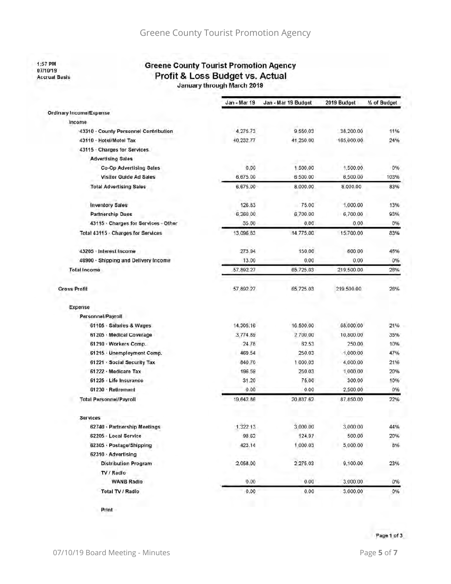1:57 PM<br>07/10/19 **Accrual Basis** 

# **Greene County Tourist Promotion Agency** Profit & Loss Budget vs. Actual

|                                       | Jan - Mar 19 | Jan - Mar 19 Budget | 2019 Budget | % of Budget |
|---------------------------------------|--------------|---------------------|-------------|-------------|
| Ordinary Income/Expense               |              |                     |             |             |
| Income                                |              |                     |             |             |
| 43310 - County Personnel Contribution | 4,275.73     | 9,550,03            | 38,200.00   | 11%         |
| 43110 · Hotel/Motel Tax               | 40,232.77    | 41,250.00           | 165,000.00  | 24%         |
| 43115 - Charges for Services          |              |                     |             |             |
| <b>Advertising Sales</b>              |              |                     |             |             |
| Co-Op Advertising Sales               | 0.00         | 1,500.00            | 1,500.00    | 0%          |
| Visitor Guide Ad Sales                | 6,675.00     | 6.500.00            | 6,500.00    | 103%        |
| <b>Total Advertising Sales</b>        | 6,675.00     | 8,000.00            | 8,000.00    | 83%         |
| <b>Inventory Sales</b>                | 126.83       | 75.00               | 1,000.00    | 13%         |
| <b>Partnership Dues</b>               | 6,260.00     | 6,700.00            | 6,700.00    | 93%         |
| 43115 · Charges for Services - Other  | 35.00        | 0.00                | 0.00        | 0%          |
| Total 43115 . Charges for Services    | 13,096.83    | 14,775,00           | 15,700.00   | 83%         |
| 43205 · Interest Income               | 273.94       | 150.00              | 600.00      | 46%         |
| 48900 · Shipping and Delivery Income  | 13.00        | 0.00                | 0.00        | 0%          |
| Total Income                          | 57,892.27    | 65,725.03           | 219,500.00  | 26%         |
| <b>Gross Profit</b>                   | 57,892.27    | 65,725.03           | 219,500.00  | 26%         |
| Expense                               |              |                     |             |             |
| Personnel/Payroll                     |              |                     |             |             |
| 61105 · Salaries & Wages              | 14,305.16    | 16,500.00           | 68,000.00   | 21%         |
| 61205 Medical Coverage                | 3,774.89     | 2,700.00            | 10,800.00   | 35%         |
| 61210 Workers Comp.                   | 24.78        | 62.53               | 250.00      | 10%         |
| 61215 · Unemployment Comp.            | 469.54       | 250.03              | 1.000.00    | 47%         |
| 61221 Social Security Tax             | 840.70       | 1.000.03            | 4,000.00    | 21%         |
| 61222 · Medicare Tax                  | 196.59       | 250.03              | 1,000.00    | 20%         |
| 61225 Life Insurance                  | 31,20        | 75.00               | 300.00      | 10%         |
| 61230 · Retirement                    | 0.00         | 0.00                | 2,500.00    | 0%          |
| <b>Total Personnel/Payroll</b>        | 19,642.86    | 20,837.62           | 87.850.00   | 22%         |
| Services                              |              |                     |             |             |
| 62740 · Partnership Meetings          | 1,322.13     | 3,000.00            | 3,000.00    | 44%         |
| 62205 · Local Service                 | 98.62        | 124.97              | 500.00      | 20%         |
| 62305 · Postage/Shipping              | 423.14       | 1,000.03            | 5,000.00    | 8%          |
| 62310 · Advertising                   |              |                     |             |             |
| <b>Distribution Program</b>           | 2,058.00     | 2,275.03            | 9,100.00    | 23%         |
| TV / Radio                            |              |                     |             |             |
| <b>WANB Radio</b>                     | 0.00         | 0.00                | 3,000.00    | 0%          |
| Total TV / Radio                      | 0.00         | 0.00                | 3,000.00    | 0%          |
|                                       |              |                     |             |             |

Print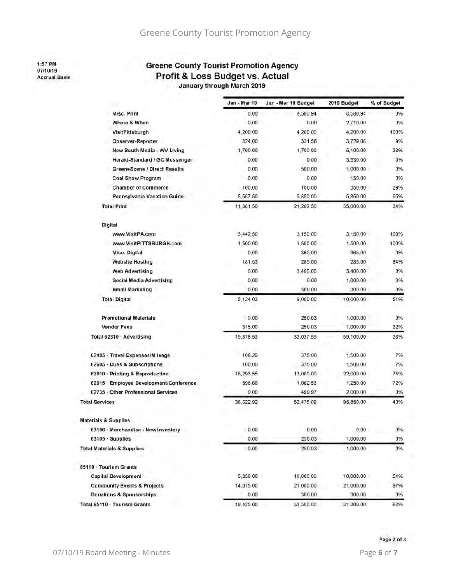1:57 PM 07/10/19 **Accrual Basis** 

#### **Greene County Tourist Promotion Agency** Profit & Loss Budget vs. Actual January through March 2019

|                                        | Jan - Mar 19 | Jan - Mar 19 Budget | 2019 Budget | % of Budget |
|----------------------------------------|--------------|---------------------|-------------|-------------|
| Misc. Print                            | 0.00         | 8,580.94            | 8,580.94    | 0%          |
| Where & When                           | 0.00         | 0.00                | 2,710.00    | 0%          |
| VisitPittsburgh                        | 4,200.00     | 4.200.00            | 4.200.00    | 100%        |
| Observer-Reporter                      | 324,00       | 331.56              | 3.729.06    | 9%          |
| New South Media - WV Living            | 1,700.00     | 1,700.00            | 5,100.00    | 33%         |
| Herald-Standard / GC Messenger         | 0,00         | 0.00                | 3,330.00    | 0%          |
| GreeneScene / Direct Results           | 0,00         | 500.00              | 1.000.00    | 0%          |
| Coal Show Program                      | 0.00         | 0.00                | 150.00      | 0%          |
| <b>Chamber of Commerce</b>             | 100.00       | 100.00              | 350.00      | 29%         |
| Pennsylvania Vacation Guide            | 5,557.50     | 5,850.00            | 5,850.00    | 95%         |
| <b>Total Print</b>                     | 11,881.50    | 21,262.50           | 35,000.00   | 34%         |
| Digital                                |              |                     |             |             |
| www.VisitPA.com                        | 3,442.50     | 3,150.00            | 3,150.00    | 109%        |
| www.VisitPITTSBURGH.com                | 1,500.00     | 1,500.00            | 1,500.00    | 100%        |
| Misc. Digital                          | 0,00         | 365.00              | 365.00      | 0%          |
| <b>Website Hosting</b>                 | 181.53       | 285.00              | 285.00      | 64%         |
| <b>Web Advertising</b>                 | 0.00         | 3,400.00            | 3,400.00    | 0%          |
| Social Media Advertising               | 0.00         | 0.00                | 1,000.00    | 0%          |
| Email Marketing                        | 0.00         | 300.00              | 300.00      | 0%          |
| <b>Total Digital</b>                   | 5,124.03     | 9,000.00            | 10,000.00   | 51%         |
| <b>Promotional Materials</b>           | 0.00         | 250.03              | 1,000.00    | 0%          |
| <b>Vendor Fees</b>                     | 315.00       | 250.03              | 1,000.00    | 32%         |
| Total 62310 · Advertising              | 19,378.53    | 33,037.59           | 59,100.00   | 33%         |
| 62405 · Travel Expenses/Mileage        | 108.29       | 375.00              | 1,500.00    | 7%          |
| 62605 - Dues & Subscriptions           | 100,00       | 375.00              | 1,500.00    | 7%          |
| 62610 - Printing & Reproduction        | 16,293.55    | 13,000.00           | 22,000.00   | 74%         |
| 62615 Employee Development/Conference  | 898.66       | 1,062.53            | 1,250.00    | 72%         |
| 62735 · Other Professional Services    | 0.00         | 499.97              | 2,000.00    | 0%          |
| <b>Total Services</b>                  | 38,622.92    | 52,475.09           | 95,850.00   | 40%         |
| <b>Materials &amp; Supplies</b>        |              |                     |             |             |
| 63106 Merchandise - New Inventory      | 0,00         | 0,00                | 0.00        | 0%          |
| 63105 · Supplies                       | 0.00         | 250.03              | 1,000.00    | 0%          |
| <b>Total Materials &amp; Supplies</b>  | 0.00         | 250.03              | 1,000.00    | 0%          |
| 65110 Tourism Grants                   |              |                     |             |             |
| <b>Capital Development</b>             | 5,350.00     | 10,000.00           | 10,000.00   | 54%         |
| <b>Community Events &amp; Projects</b> | 14,075.00    | 21,000.00           | 21.000.00   | 67%         |
| Donations & Sponsorships               | 0.00         | 300.00              | 300.00      | 0%          |
| Total 65110 · Tourism Grants           | 19:425.00    | 31,300.00           | 31.300.00   | 62%         |